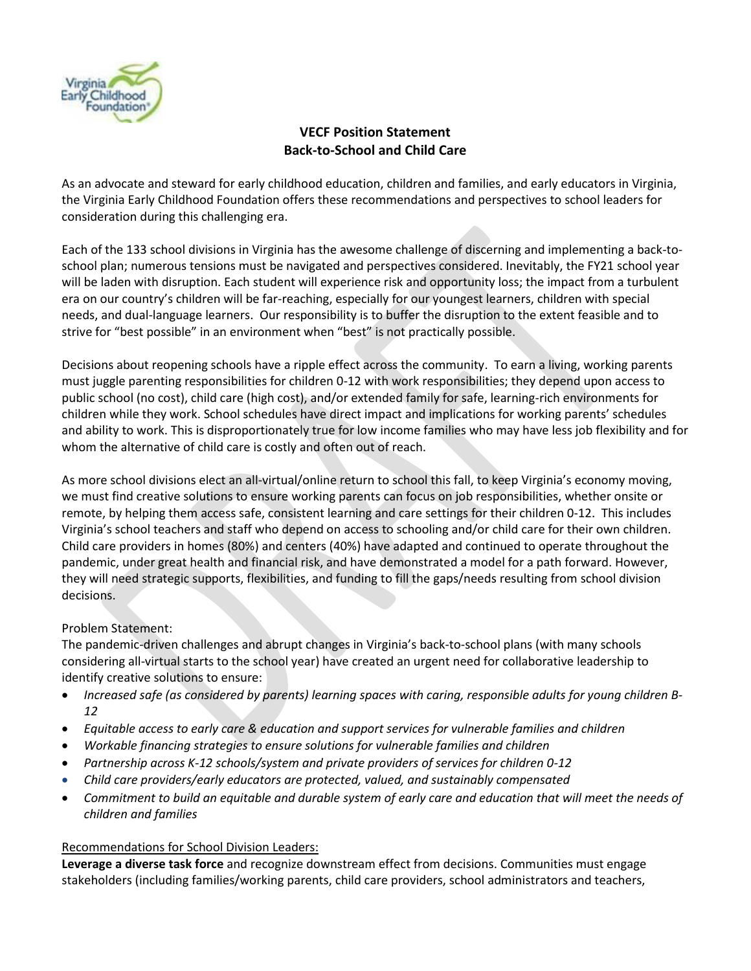

# **VECF Position Statement Back-to-School and Child Care**

As an advocate and steward for early childhood education, children and families, and early educators in Virginia, the Virginia Early Childhood Foundation offers these recommendations and perspectives to school leaders for consideration during this challenging era.

Each of the 133 school divisions in Virginia has the awesome challenge of discerning and implementing a back-toschool plan; numerous tensions must be navigated and perspectives considered. Inevitably, the FY21 school year will be laden with disruption. Each student will experience risk and opportunity loss; the impact from a turbulent era on our country's children will be far-reaching, especially for our youngest learners, children with special needs, and dual-language learners. Our responsibility is to buffer the disruption to the extent feasible and to strive for "best possible" in an environment when "best" is not practically possible.

Decisions about reopening schools have a ripple effect across the community. To earn a living, working parents must juggle parenting responsibilities for children 0-12 with work responsibilities; they depend upon access to public school (no cost), child care (high cost), and/or extended family for safe, learning-rich environments for children while they work. School schedules have direct impact and implications for working parents' schedules and ability to work. This is disproportionately true for low income families who may have less job flexibility and for whom the alternative of child care is costly and often out of reach.

As more school divisions elect an all-virtual/online return to school this fall, to keep Virginia's economy moving, we must find creative solutions to ensure working parents can focus on job responsibilities, whether onsite or remote, by helping them access safe, consistent learning and care settings for their children 0-12. This includes Virginia's school teachers and staff who depend on access to schooling and/or child care for their own children. Child care providers in homes (80%) and centers (40%) have adapted and continued to operate throughout the pandemic, under great health and financial risk, and have demonstrated a model for a path forward. However, they will need strategic supports, flexibilities, and funding to fill the gaps/needs resulting from school division decisions.

# Problem Statement:

The pandemic-driven challenges and abrupt changes in Virginia's back-to-school plans (with many schools considering all-virtual starts to the school year) have created an urgent need for collaborative leadership to identify creative solutions to ensure:

- *Increased safe (as considered by parents) learning spaces with caring, responsible adults for young children B-12*
- *Equitable access to early care & education and support services for vulnerable families and children*
- *Workable financing strategies to ensure solutions for vulnerable families and children*
- *Partnership across K-12 schools/system and private providers of services for children 0-12*
	- *Child care providers/early educators are protected, valued, and sustainably compensated*
- *Commitment to build an equitable and durable system of early care and education that will meet the needs of children and families*

# Recommendations for School Division Leaders:

**Leverage a diverse task force** and recognize downstream effect from decisions. Communities must engage stakeholders (including families/working parents, child care providers, school administrators and teachers,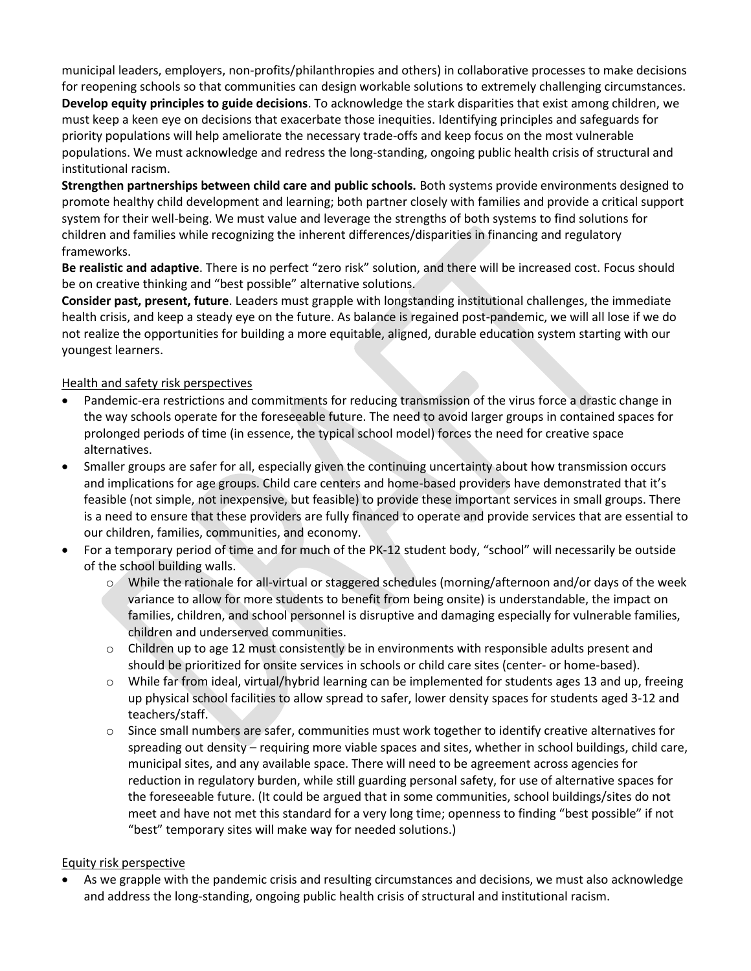municipal leaders, employers, non-profits/philanthropies and others) in collaborative processes to make decisions for reopening schools so that communities can design workable solutions to extremely challenging circumstances. **Develop equity principles to guide decisions**. To acknowledge the stark disparities that exist among children, we must keep a keen eye on decisions that exacerbate those inequities. Identifying principles and safeguards for priority populations will help ameliorate the necessary trade-offs and keep focus on the most vulnerable populations. We must acknowledge and redress the long-standing, ongoing public health crisis of structural and institutional racism.

**Strengthen partnerships between child care and public schools.** Both systems provide environments designed to promote healthy child development and learning; both partner closely with families and provide a critical support system for their well-being. We must value and leverage the strengths of both systems to find solutions for children and families while recognizing the inherent differences/disparities in financing and regulatory frameworks.

**Be realistic and adaptive**. There is no perfect "zero risk" solution, and there will be increased cost. Focus should be on creative thinking and "best possible" alternative solutions.

**Consider past, present, future**. Leaders must grapple with longstanding institutional challenges, the immediate health crisis, and keep a steady eye on the future. As balance is regained post-pandemic, we will all lose if we do not realize the opportunities for building a more equitable, aligned, durable education system starting with our youngest learners.

## Health and safety risk perspectives

- Pandemic-era restrictions and commitments for reducing transmission of the virus force a drastic change in the way schools operate for the foreseeable future. The need to avoid larger groups in contained spaces for prolonged periods of time (in essence, the typical school model) forces the need for creative space alternatives.
- Smaller groups are safer for all, especially given the continuing uncertainty about how transmission occurs and implications for age groups. Child care centers and home-based providers have demonstrated that it's feasible (not simple, not inexpensive, but feasible) to provide these important services in small groups. There is a need to ensure that these providers are fully financed to operate and provide services that are essential to our children, families, communities, and economy.
- For a temporary period of time and for much of the PK-12 student body, "school" will necessarily be outside of the school building walls.
	- $\circ$  While the rationale for all-virtual or staggered schedules (morning/afternoon and/or days of the week variance to allow for more students to benefit from being onsite) is understandable, the impact on families, children, and school personnel is disruptive and damaging especially for vulnerable families, children and underserved communities.
	- $\circ$  Children up to age 12 must consistently be in environments with responsible adults present and should be prioritized for onsite services in schools or child care sites (center- or home-based).
	- o While far from ideal, virtual/hybrid learning can be implemented for students ages 13 and up, freeing up physical school facilities to allow spread to safer, lower density spaces for students aged 3-12 and teachers/staff.
	- o Since small numbers are safer, communities must work together to identify creative alternatives for spreading out density – requiring more viable spaces and sites, whether in school buildings, child care, municipal sites, and any available space. There will need to be agreement across agencies for reduction in regulatory burden, while still guarding personal safety, for use of alternative spaces for the foreseeable future. (It could be argued that in some communities, school buildings/sites do not meet and have not met this standard for a very long time; openness to finding "best possible" if not "best" temporary sites will make way for needed solutions.)

### Equity risk perspective

• As we grapple with the pandemic crisis and resulting circumstances and decisions, we must also acknowledge and address the long-standing, ongoing public health crisis of structural and institutional racism.